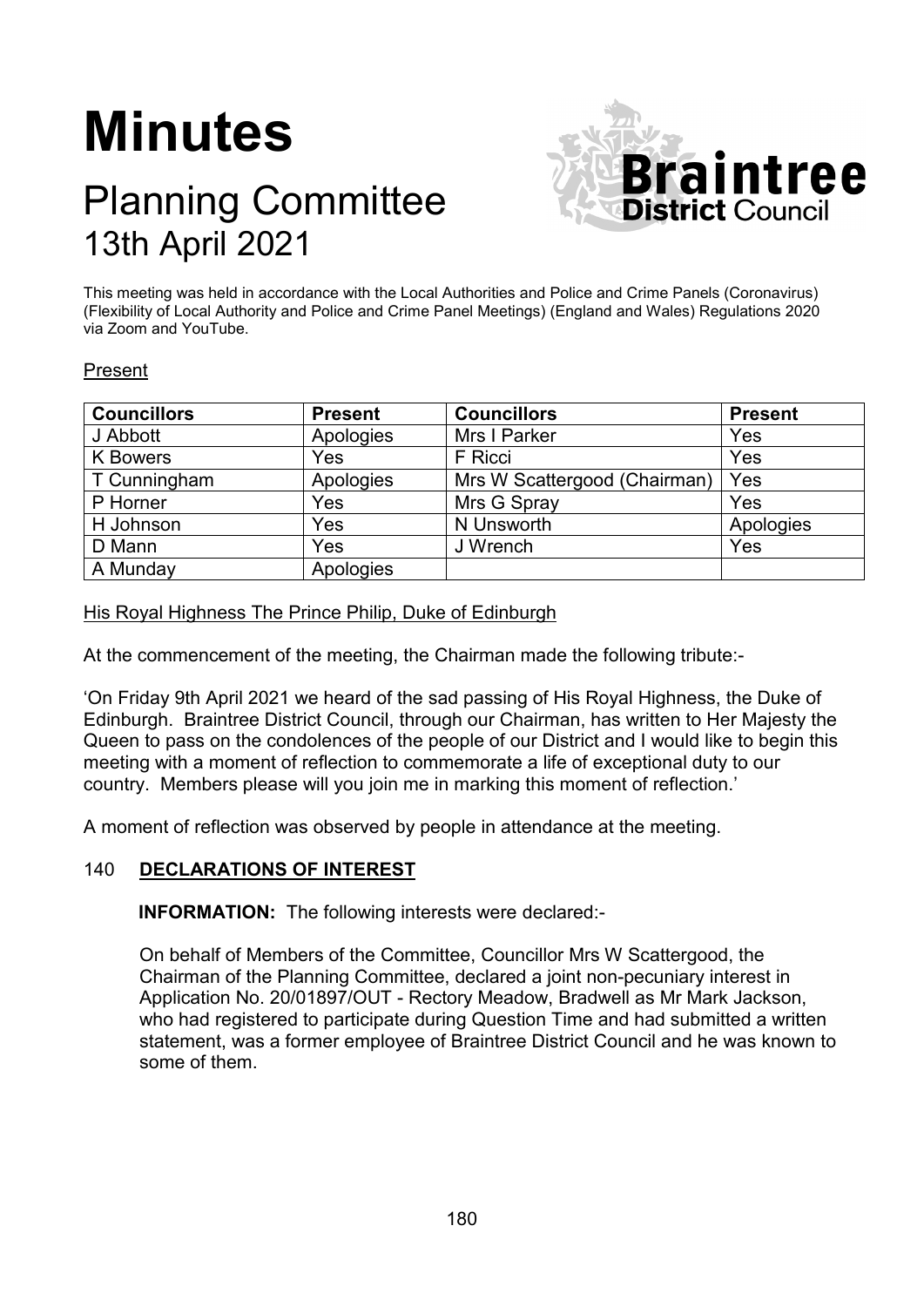# **Minutes**

# Planning Committee 13th April 2021



This meeting was held in accordance with the Local Authorities and Police and Crime Panels (Coronavirus) (Flexibility of Local Authority and Police and Crime Panel Meetings) (England and Wales) Regulations 2020 via Zoom and YouTube.

#### Present

| <b>Councillors</b> | <b>Present</b> | <b>Councillors</b>           | <b>Present</b> |
|--------------------|----------------|------------------------------|----------------|
| J Abbott           | Apologies      | Mrs I Parker                 | Yes            |
| <b>K</b> Bowers    | Yes            | F Ricci                      | Yes            |
| T Cunningham       | Apologies      | Mrs W Scattergood (Chairman) | Yes            |
| P Horner           | Yes            | Mrs G Spray                  | Yes            |
| H Johnson          | Yes            | N Unsworth                   | Apologies      |
| D Mann             | Yes            | J Wrench                     | Yes            |
| A Munday           | Apologies      |                              |                |

#### His Royal Highness The Prince Philip, Duke of Edinburgh

At the commencement of the meeting, the Chairman made the following tribute:-

'On Friday 9th April 2021 we heard of the sad passing of His Royal Highness, the Duke of Edinburgh. Braintree District Council, through our Chairman, has written to Her Majesty the Queen to pass on the condolences of the people of our District and I would like to begin this meeting with a moment of reflection to commemorate a life of exceptional duty to our country. Members please will you join me in marking this moment of reflection.'

A moment of reflection was observed by people in attendance at the meeting.

#### 140 **DECLARATIONS OF INTEREST**

**INFORMATION:** The following interests were declared:-

On behalf of Members of the Committee, Councillor Mrs W Scattergood, the Chairman of the Planning Committee, declared a joint non-pecuniary interest in Application No. 20/01897/OUT - Rectory Meadow, Bradwell as Mr Mark Jackson, who had registered to participate during Question Time and had submitted a written statement, was a former employee of Braintree District Council and he was known to some of them.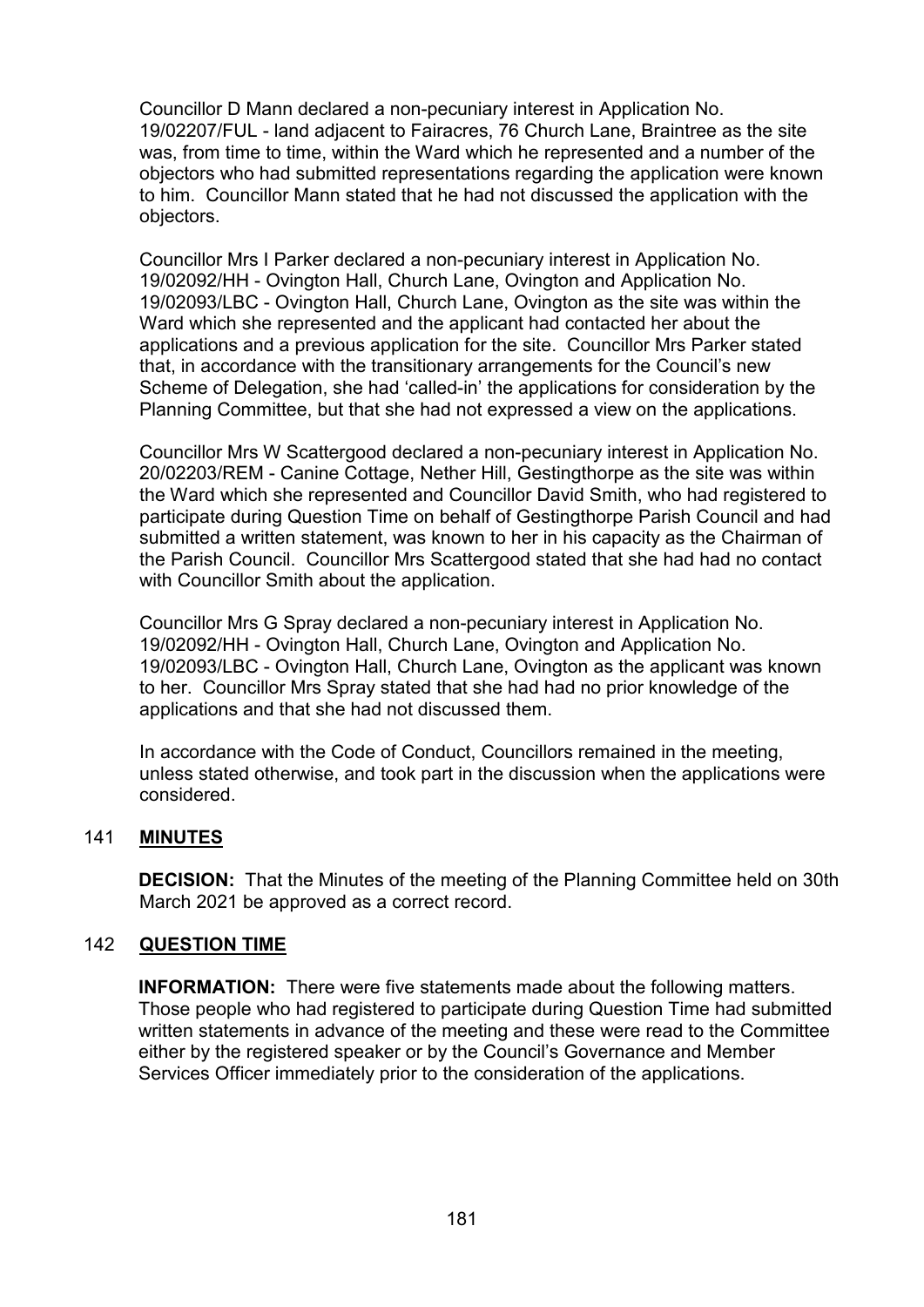Councillor D Mann declared a non-pecuniary interest in Application No. 19/02207/FUL - land adjacent to Fairacres, 76 Church Lane, Braintree as the site was, from time to time, within the Ward which he represented and a number of the objectors who had submitted representations regarding the application were known to him. Councillor Mann stated that he had not discussed the application with the objectors.

Councillor Mrs I Parker declared a non-pecuniary interest in Application No. 19/02092/HH - Ovington Hall, Church Lane, Ovington and Application No. 19/02093/LBC - Ovington Hall, Church Lane, Ovington as the site was within the Ward which she represented and the applicant had contacted her about the applications and a previous application for the site. Councillor Mrs Parker stated that, in accordance with the transitionary arrangements for the Council's new Scheme of Delegation, she had 'called-in' the applications for consideration by the Planning Committee, but that she had not expressed a view on the applications.

Councillor Mrs W Scattergood declared a non-pecuniary interest in Application No. 20/02203/REM - Canine Cottage, Nether Hill, Gestingthorpe as the site was within the Ward which she represented and Councillor David Smith, who had registered to participate during Question Time on behalf of Gestingthorpe Parish Council and had submitted a written statement, was known to her in his capacity as the Chairman of the Parish Council. Councillor Mrs Scattergood stated that she had had no contact with Councillor Smith about the application.

Councillor Mrs G Spray declared a non-pecuniary interest in Application No. 19/02092/HH - Ovington Hall, Church Lane, Ovington and Application No. 19/02093/LBC - Ovington Hall, Church Lane, Ovington as the applicant was known to her. Councillor Mrs Spray stated that she had had no prior knowledge of the applications and that she had not discussed them.

In accordance with the Code of Conduct, Councillors remained in the meeting, unless stated otherwise, and took part in the discussion when the applications were considered.

# 141 **MINUTES**

**DECISION:** That the Minutes of the meeting of the Planning Committee held on 30th March 2021 be approved as a correct record.

# 142 **QUESTION TIME**

**INFORMATION:** There were five statements made about the following matters. Those people who had registered to participate during Question Time had submitted written statements in advance of the meeting and these were read to the Committee either by the registered speaker or by the Council's Governance and Member Services Officer immediately prior to the consideration of the applications.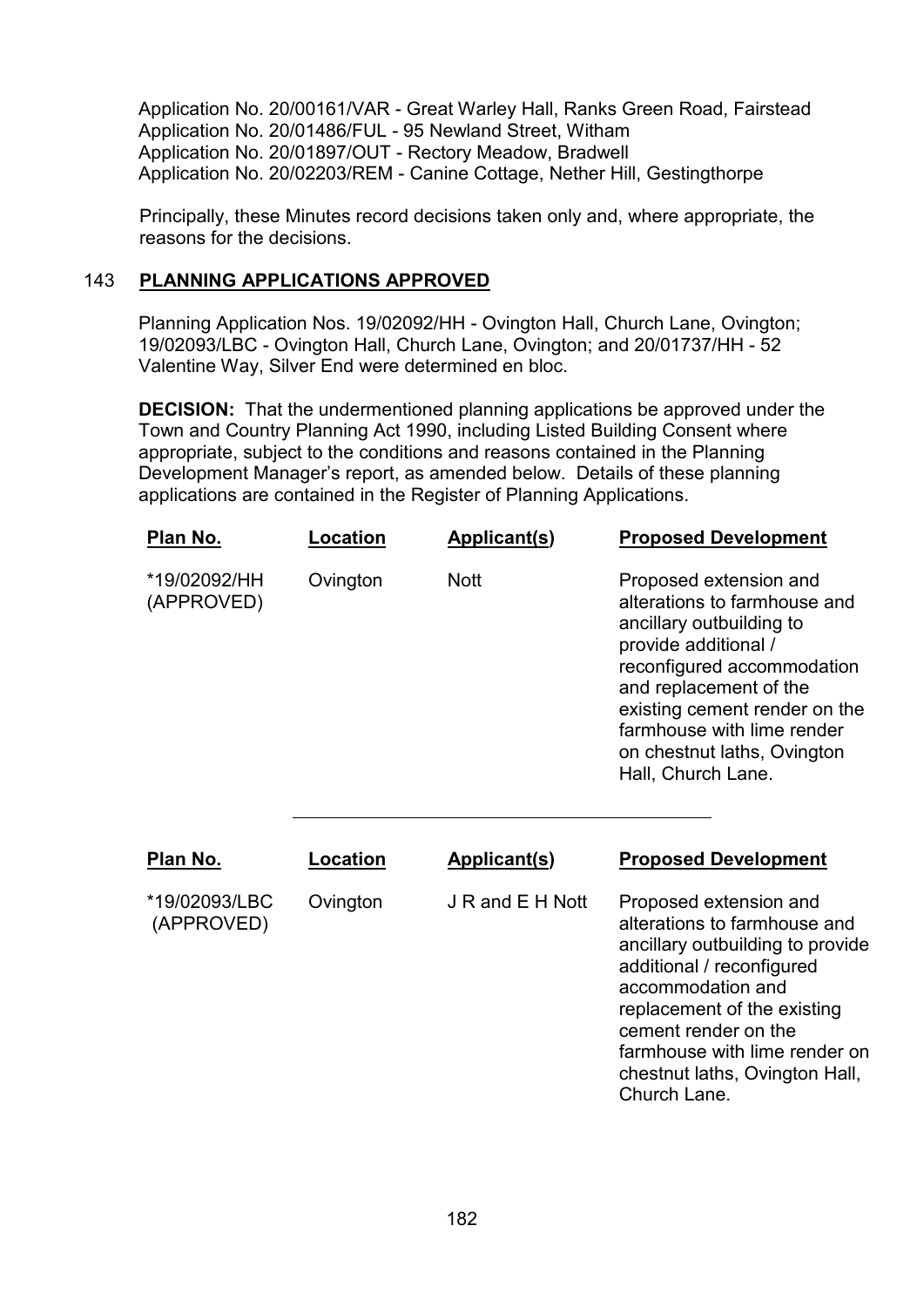Application No. 20/00161/VAR - Great Warley Hall, Ranks Green Road, Fairstead Application No. 20/01486/FUL - 95 Newland Street, Witham Application No. 20/01897/OUT - Rectory Meadow, Bradwell Application No. 20/02203/REM - Canine Cottage, Nether Hill, Gestingthorpe

Principally, these Minutes record decisions taken only and, where appropriate, the reasons for the decisions.

### 143 **PLANNING APPLICATIONS APPROVED**

Planning Application Nos. 19/02092/HH - Ovington Hall, Church Lane, Ovington; 19/02093/LBC - Ovington Hall, Church Lane, Ovington; and 20/01737/HH - 52 Valentine Way, Silver End were determined en bloc.

**DECISION:** That the undermentioned planning applications be approved under the Town and Country Planning Act 1990, including Listed Building Consent where appropriate, subject to the conditions and reasons contained in the Planning Development Manager's report, as amended below. Details of these planning applications are contained in the Register of Planning Applications.

| <u>Plan No.</u>             | Location | <b>Applicant(s)</b> | <b>Proposed Development</b>                                                                                                                                                                                                                                                            |
|-----------------------------|----------|---------------------|----------------------------------------------------------------------------------------------------------------------------------------------------------------------------------------------------------------------------------------------------------------------------------------|
| *19/02092/HH<br>(APPROVED)  | Ovington | <b>Nott</b>         | Proposed extension and<br>alterations to farmhouse and<br>ancillary outbuilding to<br>provide additional /<br>reconfigured accommodation<br>and replacement of the<br>existing cement render on the<br>farmhouse with lime render<br>on chestnut laths, Ovington<br>Hall, Church Lane. |
| Plan No.                    | Location | <b>Applicant(s)</b> | <b>Proposed Development</b>                                                                                                                                                                                                                                                            |
| *19/02093/LBC<br>(APPROVED) | Ovington | J R and E H Nott    | Proposed extension and<br>alterations to farmhouse and<br>ancillary outbuilding to provide<br>additional / reconfigured<br>accommodation and<br>replacement of the existing<br>cement render on the<br>farmhouse with lime render on<br>chestnut laths, Ovington Hall,<br>Church Lane. |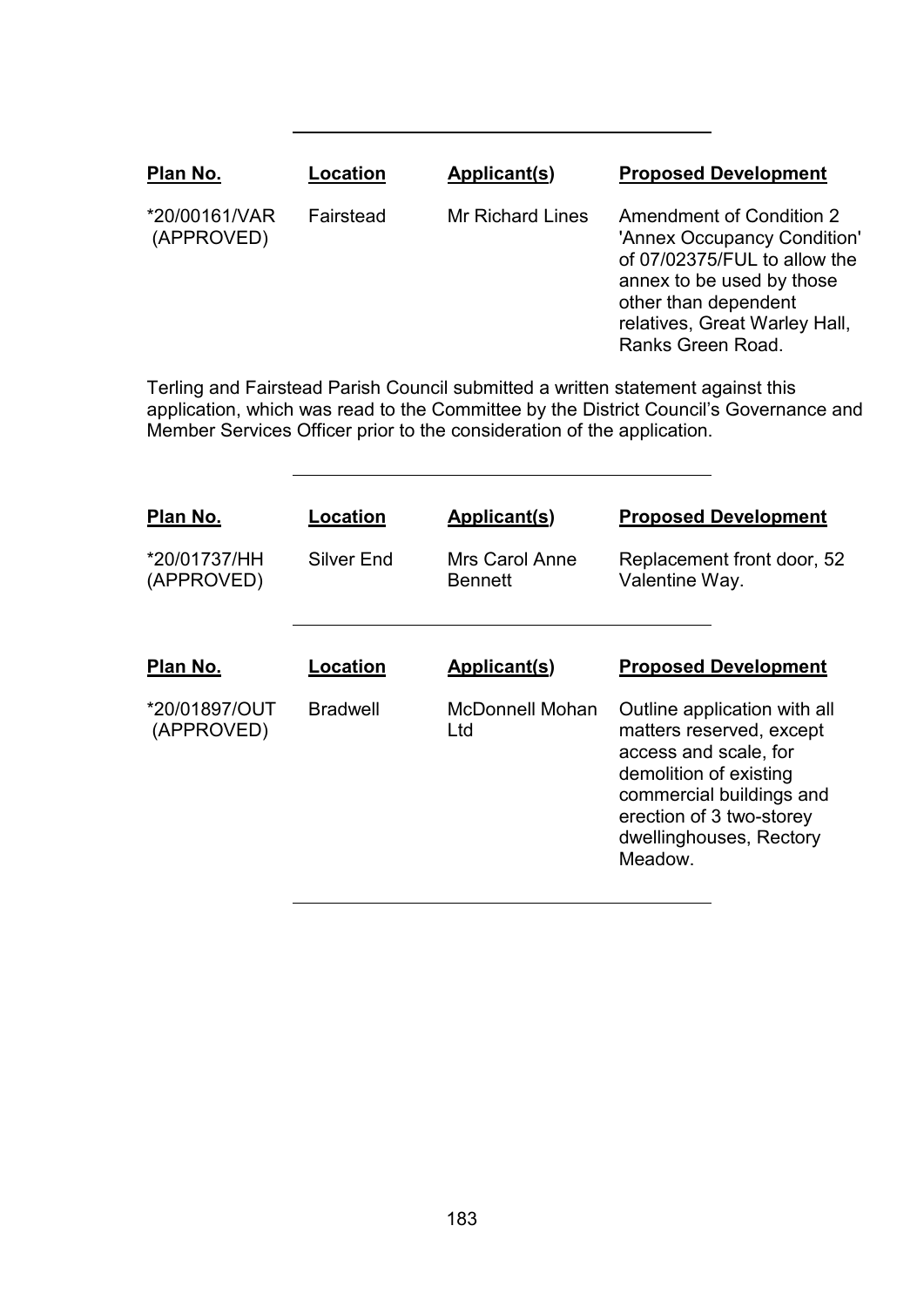| Plan No.                    | Location  | Applicant(s)            | <b>Proposed Development</b>                                                                                                                                                                               |
|-----------------------------|-----------|-------------------------|-----------------------------------------------------------------------------------------------------------------------------------------------------------------------------------------------------------|
| *20/00161/VAR<br>(APPROVED) | Fairstead | <b>Mr Richard Lines</b> | <b>Amendment of Condition 2</b><br>'Annex Occupancy Condition'<br>of 07/02375/FUL to allow the<br>annex to be used by those<br>other than dependent<br>relatives, Great Warley Hall,<br>Ranks Green Road. |
|                             |           |                         |                                                                                                                                                                                                           |

Terling and Fairstead Parish Council submitted a written statement against this application, which was read to the Committee by the District Council's Governance and Member Services Officer prior to the consideration of the application.

| Plan No.<br>*20/01737/HH<br>(APPROVED) | Location<br>Silver End | Applicant(s)<br>Mrs Carol Anne<br><b>Bennett</b> | <b>Proposed Development</b><br>Replacement front door, 52<br>Valentine Way.                                                                                                                               |
|----------------------------------------|------------------------|--------------------------------------------------|-----------------------------------------------------------------------------------------------------------------------------------------------------------------------------------------------------------|
| Plan No.                               | Location               | <b>Applicant(s)</b>                              | <b>Proposed Development</b>                                                                                                                                                                               |
| *20/01897/OUT<br>(APPROVED)            | <b>Bradwell</b>        | <b>McDonnell Mohan</b><br>Ltd                    | Outline application with all<br>matters reserved, except<br>access and scale, for<br>demolition of existing<br>commercial buildings and<br>erection of 3 two-storey<br>dwellinghouses, Rectory<br>Meadow. |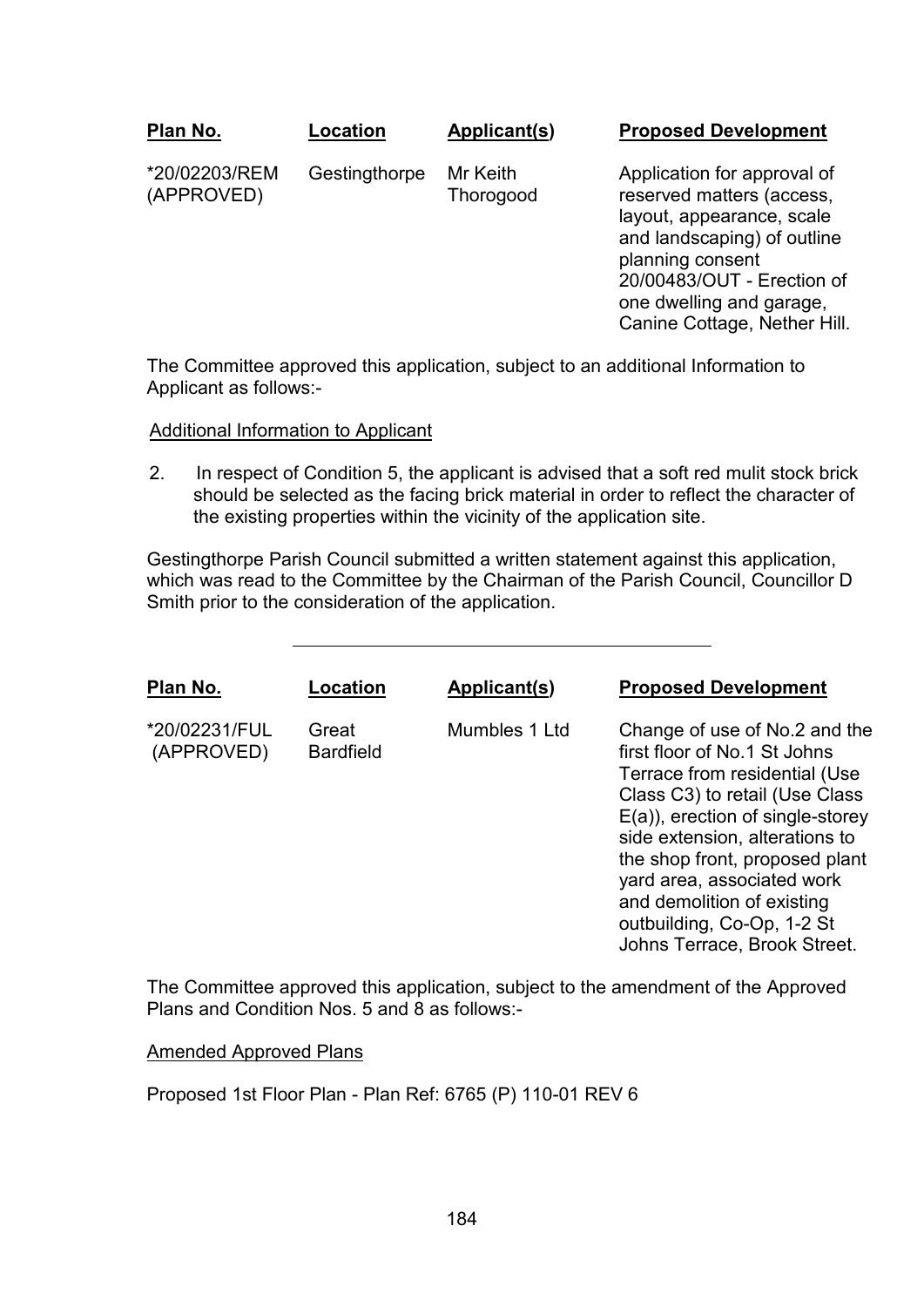| Plan No.                    | Location      | Applicant(s)          | <b>Proposed Development</b>                                                                                                                                            |
|-----------------------------|---------------|-----------------------|------------------------------------------------------------------------------------------------------------------------------------------------------------------------|
| *20/02203/REM<br>(APPROVED) | Gestingthorpe | Mr Keith<br>Thorogood | Application for approval of<br>reserved matters (access,<br>layout, appearance, scale<br>and landscaping) of outline<br>planning consent<br>20/00483/OUT - Erection of |

The Committee approved this application, subject to an additional Information to Applicant as follows:-

one dwelling and garage, Canine Cottage, Nether Hill.

#### Additional Information to Applicant

2. In respect of Condition 5, the applicant is advised that a soft red mulit stock brick should be selected as the facing brick material in order to reflect the character of the existing properties within the vicinity of the application site.

Gestingthorpe Parish Council submitted a written statement against this application, which was read to the Committee by the Chairman of the Parish Council, Councillor D Smith prior to the consideration of the application.

| Plan No.                    | Location                  | Applicant(s)  | <b>Proposed Development</b>                                                                                                                                                                                                                                                                                                                                          |
|-----------------------------|---------------------------|---------------|----------------------------------------------------------------------------------------------------------------------------------------------------------------------------------------------------------------------------------------------------------------------------------------------------------------------------------------------------------------------|
| *20/02231/FUL<br>(APPROVED) | Great<br><b>Bardfield</b> | Mumbles 1 Ltd | Change of use of No.2 and the<br>first floor of No.1 St Johns<br>Terrace from residential (Use<br>Class C3) to retail (Use Class<br>$E(a)$ , erection of single-storey<br>side extension, alterations to<br>the shop front, proposed plant<br>yard area, associated work<br>and demolition of existing<br>outbuilding, Co-Op, 1-2 St<br>Johns Terrace, Brook Street. |

The Committee approved this application, subject to the amendment of the Approved Plans and Condition Nos. 5 and 8 as follows:-

Amended Approved Plans

Proposed 1st Floor Plan - Plan Ref: 6765 (P) 110-01 REV 6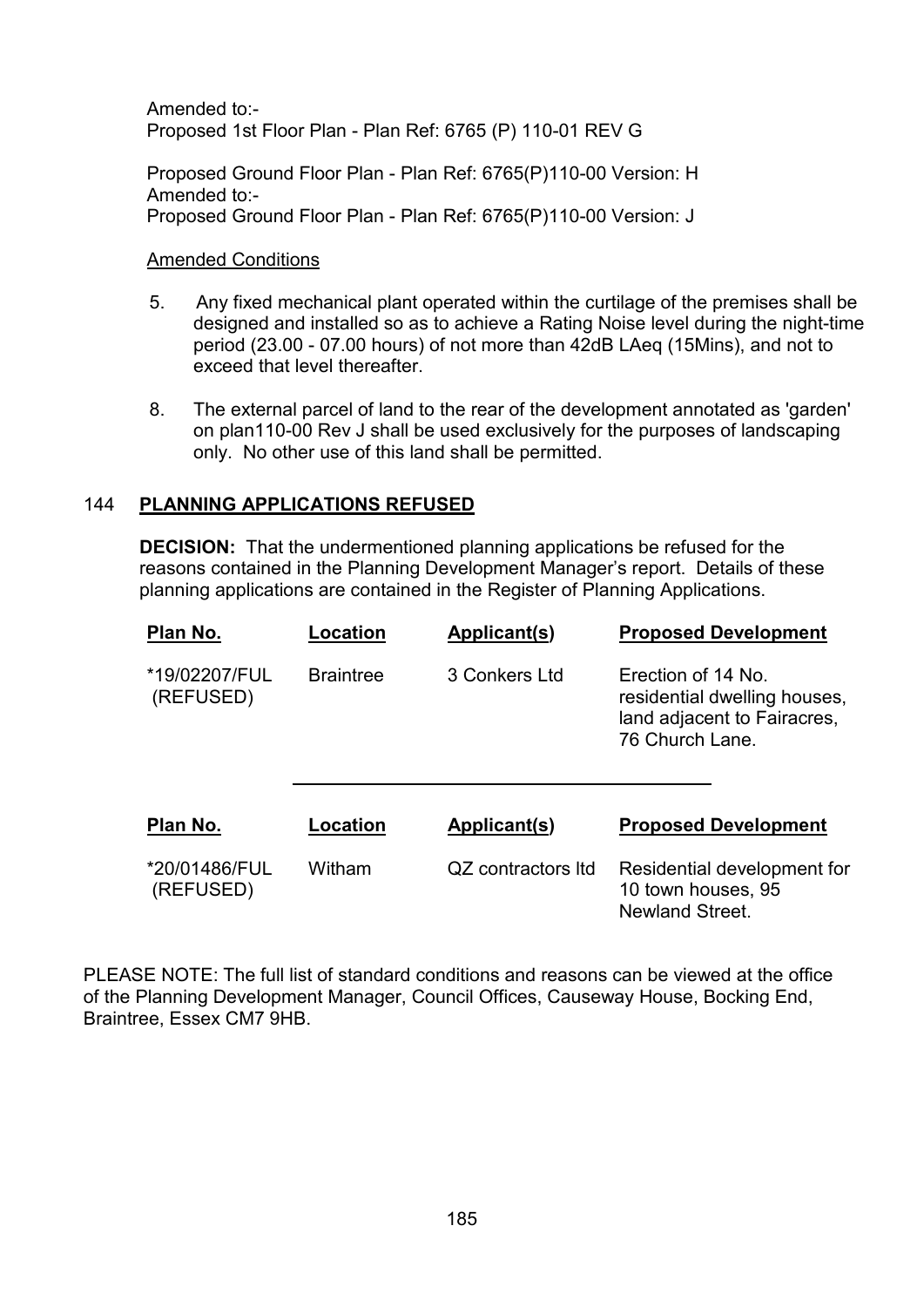Amended to:- Proposed 1st Floor Plan - Plan Ref: 6765 (P) 110-01 REV G

Proposed Ground Floor Plan - Plan Ref: 6765(P)110-00 Version: H Amended to:- Proposed Ground Floor Plan - Plan Ref: 6765(P)110-00 Version: J

#### Amended Conditions

- 5. Any fixed mechanical plant operated within the curtilage of the premises shall be designed and installed so as to achieve a Rating Noise level during the night-time period (23.00 - 07.00 hours) of not more than 42dB LAeq (15Mins), and not to exceed that level thereafter.
- 8. The external parcel of land to the rear of the development annotated as 'garden' on plan110-00 Rev J shall be used exclusively for the purposes of landscaping only. No other use of this land shall be permitted.

# 144 **PLANNING APPLICATIONS REFUSED**

**DECISION:** That the undermentioned planning applications be refused for the reasons contained in the Planning Development Manager's report. Details of these planning applications are contained in the Register of Planning Applications.

| Plan No.                   | Location         | Applicant(s)       | <b>Proposed Development</b>                                                                          |
|----------------------------|------------------|--------------------|------------------------------------------------------------------------------------------------------|
| *19/02207/FUL<br>(REFUSED) | <b>Braintree</b> | 3 Conkers Ltd      | Erection of 14 No.<br>residential dwelling houses,<br>land adjacent to Fairacres,<br>76 Church Lane. |
| Plan No.                   | Location         | Applicant(s)       | <b>Proposed Development</b>                                                                          |
| *20/01486/FUL<br>(REFUSED) | Witham           | QZ contractors Itd | Residential development for<br>10 town houses, 95<br>Newland Street.                                 |

PLEASE NOTE: The full list of standard conditions and reasons can be viewed at the office of the Planning Development Manager, Council Offices, Causeway House, Bocking End, Braintree, Essex CM7 9HB.